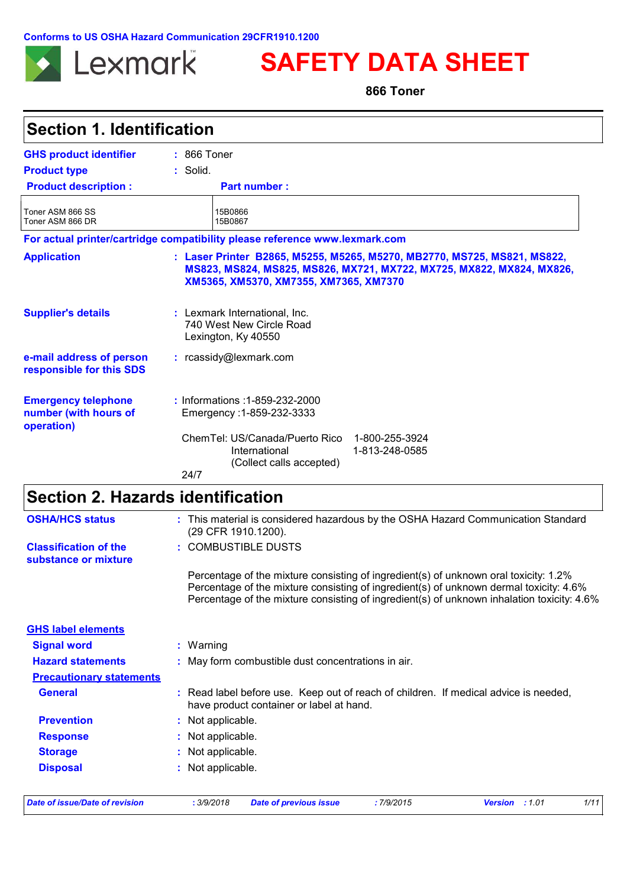**Conforms to US OSHA Hazard Communication 29CFR1910.1200**



**SAFETY DATA SHEET**

**866 Toner**

| <b>GHS product identifier</b><br><b>Product type</b><br><b>Product description:</b><br>Toner ASM 866 SS<br>Toner ASM 866 DR | $: 866$ Toner<br>$:$ Solid.<br><b>Part number:</b><br>15B0866<br>15B0867<br>For actual printer/cartridge compatibility please reference www.lexmark.com                                     |  |  |  |
|-----------------------------------------------------------------------------------------------------------------------------|---------------------------------------------------------------------------------------------------------------------------------------------------------------------------------------------|--|--|--|
|                                                                                                                             |                                                                                                                                                                                             |  |  |  |
|                                                                                                                             |                                                                                                                                                                                             |  |  |  |
|                                                                                                                             |                                                                                                                                                                                             |  |  |  |
|                                                                                                                             |                                                                                                                                                                                             |  |  |  |
|                                                                                                                             |                                                                                                                                                                                             |  |  |  |
| <b>Application</b>                                                                                                          | : Laser Printer B2865, M5255, M5265, M5270, MB2770, MS725, MS821, MS822,<br>MS823, MS824, MS825, MS826, MX721, MX722, MX725, MX822, MX824, MX826,<br>XM5365, XM5370, XM7355, XM7365, XM7370 |  |  |  |
| <b>Supplier's details</b>                                                                                                   | : Lexmark International, Inc.<br>740 West New Circle Road<br>Lexington, Ky 40550                                                                                                            |  |  |  |
| e-mail address of person<br>responsible for this SDS                                                                        | : rcassidy@lexmark.com                                                                                                                                                                      |  |  |  |
| <b>Emergency telephone</b><br>number (with hours of<br>operation)                                                           | : Informations : 1-859-232-2000<br>Emergency: 1-859-232-3333                                                                                                                                |  |  |  |
|                                                                                                                             | ChemTel: US/Canada/Puerto Rico<br>1-800-255-3924<br>International<br>1-813-248-0585<br>(Collect calls accepted)<br>24/7                                                                     |  |  |  |

# **Section 2. Hazards identification**

| <b>Date of issue/Date of revision</b>                | :7/9/2015<br>1/11<br>: 3/9/2018<br><b>Date of previous issue</b><br><b>Version</b><br>:1.01                                                                                          |
|------------------------------------------------------|--------------------------------------------------------------------------------------------------------------------------------------------------------------------------------------|
| <b>Disposal</b>                                      | : Not applicable.                                                                                                                                                                    |
| <b>Storage</b>                                       | : Not applicable.                                                                                                                                                                    |
| <b>Response</b>                                      | : Not applicable.                                                                                                                                                                    |
| <b>Prevention</b>                                    | : Not applicable.                                                                                                                                                                    |
| <b>General</b>                                       | : Read label before use. Keep out of reach of children. If medical advice is needed,<br>have product container or label at hand.                                                     |
| <b>Precautionary statements</b>                      |                                                                                                                                                                                      |
| <b>Hazard statements</b>                             | : May form combustible dust concentrations in air.                                                                                                                                   |
| <b>Signal word</b>                                   | $:$ Warning                                                                                                                                                                          |
| <b>GHS label elements</b>                            |                                                                                                                                                                                      |
|                                                      | Percentage of the mixture consisting of ingredient(s) of unknown dermal toxicity: 4.6%<br>Percentage of the mixture consisting of ingredient(s) of unknown inhalation toxicity: 4.6% |
|                                                      | Percentage of the mixture consisting of ingredient(s) of unknown oral toxicity: 1.2%                                                                                                 |
| <b>Classification of the</b><br>substance or mixture | : COMBUSTIBLE DUSTS                                                                                                                                                                  |
| <b>OSHA/HCS status</b>                               | : This material is considered hazardous by the OSHA Hazard Communication Standard<br>(29 CFR 1910.1200).                                                                             |
|                                                      |                                                                                                                                                                                      |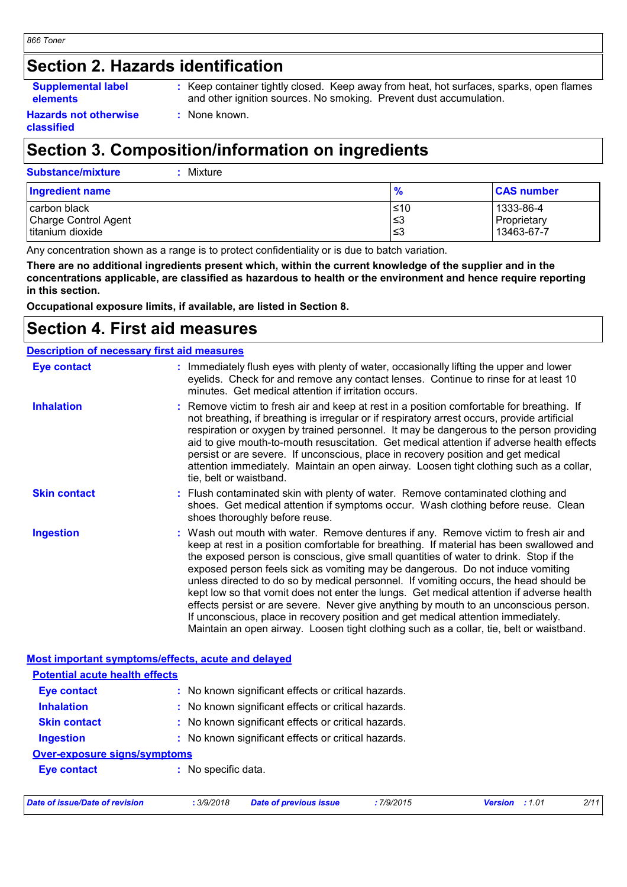## **Section 2. Hazards identification**

#### **Supplemental label elements**

**:** Keep container tightly closed. Keep away from heat, hot surfaces, sparks, open flames and other ignition sources. No smoking. Prevent dust accumulation.

#### **Hazards not otherwise classified**

# **Section 3. Composition/information on ingredients**

**:** None known.

| <b>Substance/mixture</b><br>: Mixture                    |                    |                                        |
|----------------------------------------------------------|--------------------|----------------------------------------|
| <b>Ingredient name</b>                                   | $\frac{9}{6}$      | <b>CAS number</b>                      |
| carbon black<br>Charge Control Agent<br>titanium dioxide | l≤10<br>3≥ا<br>'≤3 | 1333-86-4<br>Proprietary<br>13463-67-7 |

Any concentration shown as a range is to protect confidentiality or is due to batch variation.

**There are no additional ingredients present which, within the current knowledge of the supplier and in the concentrations applicable, are classified as hazardous to health or the environment and hence require reporting in this section.**

**Occupational exposure limits, if available, are listed in Section 8.**

## **Section 4. First aid measures**

|                     | <b>Description of necessary first aid measures</b>                                                                                                                                                                                                                                                                                                                                                                                                                                                                                                                                                                                                                                                                                                                                                                        |
|---------------------|---------------------------------------------------------------------------------------------------------------------------------------------------------------------------------------------------------------------------------------------------------------------------------------------------------------------------------------------------------------------------------------------------------------------------------------------------------------------------------------------------------------------------------------------------------------------------------------------------------------------------------------------------------------------------------------------------------------------------------------------------------------------------------------------------------------------------|
| <b>Eye contact</b>  | : Immediately flush eyes with plenty of water, occasionally lifting the upper and lower<br>eyelids. Check for and remove any contact lenses. Continue to rinse for at least 10<br>minutes. Get medical attention if irritation occurs.                                                                                                                                                                                                                                                                                                                                                                                                                                                                                                                                                                                    |
| <b>Inhalation</b>   | : Remove victim to fresh air and keep at rest in a position comfortable for breathing. If<br>not breathing, if breathing is irregular or if respiratory arrest occurs, provide artificial<br>respiration or oxygen by trained personnel. It may be dangerous to the person providing<br>aid to give mouth-to-mouth resuscitation. Get medical attention if adverse health effects<br>persist or are severe. If unconscious, place in recovery position and get medical<br>attention immediately. Maintain an open airway. Loosen tight clothing such as a collar,<br>tie, belt or waistband.                                                                                                                                                                                                                              |
| <b>Skin contact</b> | : Flush contaminated skin with plenty of water. Remove contaminated clothing and<br>shoes. Get medical attention if symptoms occur. Wash clothing before reuse. Clean<br>shoes thoroughly before reuse.                                                                                                                                                                                                                                                                                                                                                                                                                                                                                                                                                                                                                   |
| <b>Ingestion</b>    | : Wash out mouth with water. Remove dentures if any. Remove victim to fresh air and<br>keep at rest in a position comfortable for breathing. If material has been swallowed and<br>the exposed person is conscious, give small quantities of water to drink. Stop if the<br>exposed person feels sick as vomiting may be dangerous. Do not induce vomiting<br>unless directed to do so by medical personnel. If vomiting occurs, the head should be<br>kept low so that vomit does not enter the lungs. Get medical attention if adverse health<br>effects persist or are severe. Never give anything by mouth to an unconscious person.<br>If unconscious, place in recovery position and get medical attention immediately.<br>Maintain an open airway. Loosen tight clothing such as a collar, tie, belt or waistband. |

| Date of issue/Date of revision        | : 3/9/2018                                          | <b>Date of previous issue</b>                       | :7/9/2015 | Version : 1.01 | 2/11 |  |
|---------------------------------------|-----------------------------------------------------|-----------------------------------------------------|-----------|----------------|------|--|
| <b>Eye contact</b>                    | : No specific data.                                 |                                                     |           |                |      |  |
| <b>Over-exposure signs/symptoms</b>   |                                                     |                                                     |           |                |      |  |
| <b>Ingestion</b>                      |                                                     | : No known significant effects or critical hazards. |           |                |      |  |
| <b>Skin contact</b>                   | : No known significant effects or critical hazards. |                                                     |           |                |      |  |
| <b>Inhalation</b>                     |                                                     | : No known significant effects or critical hazards. |           |                |      |  |
| <b>Eye contact</b>                    |                                                     | : No known significant effects or critical hazards. |           |                |      |  |
| <b>Potential acute health effects</b> |                                                     |                                                     |           |                |      |  |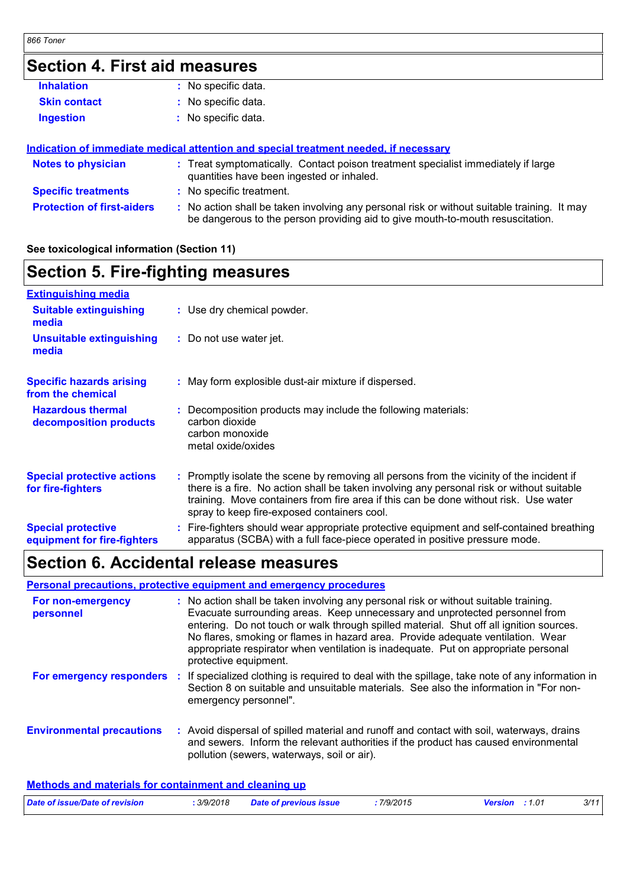### **Section 4. First aid measures Protection of first-aiders :** No action shall be taken involving any personal risk or without suitable training. It may be dangerous to the person providing aid to give mouth-to-mouth resuscitation. **Notes to physician <b>:** Treat symptomatically. Contact poison treatment specialist immediately if large quantities have been ingested or inhaled. **Specific treatments :** No specific treatment. **Skin contact Ingestion Inhalation :** No specific data. No specific data. **:** No specific data. **: Indication of immediate medical attention and special treatment needed, if necessary**

### **See toxicological information (Section 11)**

### **Section 5. Fire-fighting measures**

| <b>Extinguishing media</b>                               |                                                                                                                                                                                                                                                                                                                               |
|----------------------------------------------------------|-------------------------------------------------------------------------------------------------------------------------------------------------------------------------------------------------------------------------------------------------------------------------------------------------------------------------------|
| <b>Suitable extinguishing</b><br>media                   | : Use dry chemical powder.                                                                                                                                                                                                                                                                                                    |
| <b>Unsuitable extinguishing</b><br>media                 | : Do not use water jet.                                                                                                                                                                                                                                                                                                       |
| <b>Specific hazards arising</b><br>from the chemical     | : May form explosible dust-air mixture if dispersed.                                                                                                                                                                                                                                                                          |
| <b>Hazardous thermal</b><br>decomposition products       | Decomposition products may include the following materials:<br>carbon dioxide<br>carbon monoxide<br>metal oxide/oxides                                                                                                                                                                                                        |
| <b>Special protective actions</b><br>for fire-fighters   | : Promptly isolate the scene by removing all persons from the vicinity of the incident if<br>there is a fire. No action shall be taken involving any personal risk or without suitable<br>training. Move containers from fire area if this can be done without risk. Use water<br>spray to keep fire-exposed containers cool. |
| <b>Special protective</b><br>equipment for fire-fighters | : Fire-fighters should wear appropriate protective equipment and self-contained breathing<br>apparatus (SCBA) with a full face-piece operated in positive pressure mode.                                                                                                                                                      |
|                                                          |                                                                                                                                                                                                                                                                                                                               |

## **Section 6. Accidental release measures**

### **Personal precautions, protective equipment and emergency procedures**

| For non-emergency<br>personnel   |     | : No action shall be taken involving any personal risk or without suitable training.<br>Evacuate surrounding areas. Keep unnecessary and unprotected personnel from<br>entering. Do not touch or walk through spilled material. Shut off all ignition sources.<br>No flares, smoking or flames in hazard area. Provide adequate ventilation. Wear<br>appropriate respirator when ventilation is inadequate. Put on appropriate personal<br>protective equipment. |
|----------------------------------|-----|------------------------------------------------------------------------------------------------------------------------------------------------------------------------------------------------------------------------------------------------------------------------------------------------------------------------------------------------------------------------------------------------------------------------------------------------------------------|
| For emergency responders         | -11 | If specialized clothing is required to deal with the spillage, take note of any information in<br>Section 8 on suitable and unsuitable materials. See also the information in "For non-<br>emergency personnel".                                                                                                                                                                                                                                                 |
| <b>Environmental precautions</b> |     | : Avoid dispersal of spilled material and runoff and contact with soil, waterways, drains<br>and sewers. Inform the relevant authorities if the product has caused environmental<br>pollution (sewers, waterways, soil or air).                                                                                                                                                                                                                                  |

| Date of issue/Date of revision | .3/9/2018 | <b>Date of previous issue</b> | 7/9/2015 | <b>Version</b> : 1.01 | 3/11 |
|--------------------------------|-----------|-------------------------------|----------|-----------------------|------|
|                                |           |                               |          |                       |      |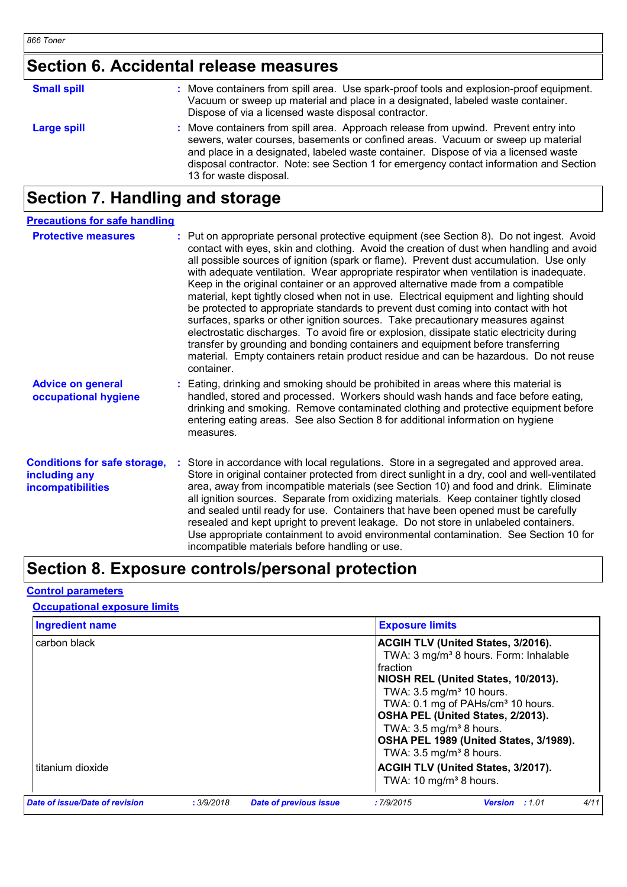# **Section 6. Accidental release measures**

| <b>Small spill</b> | : Move containers from spill area. Use spark-proof tools and explosion-proof equipment.<br>Vacuum or sweep up material and place in a designated, labeled waste container.<br>Dispose of via a licensed waste disposal contractor.                                                                                                                                                |
|--------------------|-----------------------------------------------------------------------------------------------------------------------------------------------------------------------------------------------------------------------------------------------------------------------------------------------------------------------------------------------------------------------------------|
| Large spill        | : Move containers from spill area. Approach release from upwind. Prevent entry into<br>sewers, water courses, basements or confined areas. Vacuum or sweep up material<br>and place in a designated, labeled waste container. Dispose of via a licensed waste<br>disposal contractor. Note: see Section 1 for emergency contact information and Section<br>13 for waste disposal. |

# **Section 7. Handling and storage**

| <b>Precautions for safe handling</b>                                             |                                                                                                                                                                                                                                                                                                                                                                                                                                                                                                                                                                                                                                                                                                                                                                                                                                                                                                                                                                                                                       |
|----------------------------------------------------------------------------------|-----------------------------------------------------------------------------------------------------------------------------------------------------------------------------------------------------------------------------------------------------------------------------------------------------------------------------------------------------------------------------------------------------------------------------------------------------------------------------------------------------------------------------------------------------------------------------------------------------------------------------------------------------------------------------------------------------------------------------------------------------------------------------------------------------------------------------------------------------------------------------------------------------------------------------------------------------------------------------------------------------------------------|
| <b>Protective measures</b>                                                       | : Put on appropriate personal protective equipment (see Section 8). Do not ingest. Avoid<br>contact with eyes, skin and clothing. Avoid the creation of dust when handling and avoid<br>all possible sources of ignition (spark or flame). Prevent dust accumulation. Use only<br>with adequate ventilation. Wear appropriate respirator when ventilation is inadequate.<br>Keep in the original container or an approved alternative made from a compatible<br>material, kept tightly closed when not in use. Electrical equipment and lighting should<br>be protected to appropriate standards to prevent dust coming into contact with hot<br>surfaces, sparks or other ignition sources. Take precautionary measures against<br>electrostatic discharges. To avoid fire or explosion, dissipate static electricity during<br>transfer by grounding and bonding containers and equipment before transferring<br>material. Empty containers retain product residue and can be hazardous. Do not reuse<br>container. |
| <b>Advice on general</b><br>occupational hygiene                                 | : Eating, drinking and smoking should be prohibited in areas where this material is<br>handled, stored and processed. Workers should wash hands and face before eating,<br>drinking and smoking. Remove contaminated clothing and protective equipment before<br>entering eating areas. See also Section 8 for additional information on hygiene<br>measures.                                                                                                                                                                                                                                                                                                                                                                                                                                                                                                                                                                                                                                                         |
| <b>Conditions for safe storage,</b><br>including any<br><b>incompatibilities</b> | Store in accordance with local regulations. Store in a segregated and approved area.<br>Store in original container protected from direct sunlight in a dry, cool and well-ventilated<br>area, away from incompatible materials (see Section 10) and food and drink. Eliminate<br>all ignition sources. Separate from oxidizing materials. Keep container tightly closed<br>and sealed until ready for use. Containers that have been opened must be carefully<br>resealed and kept upright to prevent leakage. Do not store in unlabeled containers.<br>Use appropriate containment to avoid environmental contamination. See Section 10 for<br>incompatible materials before handling or use.                                                                                                                                                                                                                                                                                                                       |

# **Section 8. Exposure controls/personal protection**

#### **Control parameters**

### **Occupational exposure limits**

| <b>Ingredient name</b>         |            |                               | <b>Exposure limits</b>                                                                                                       |                                                                                                                                                                                                                                                                       |      |
|--------------------------------|------------|-------------------------------|------------------------------------------------------------------------------------------------------------------------------|-----------------------------------------------------------------------------------------------------------------------------------------------------------------------------------------------------------------------------------------------------------------------|------|
| carbon black                   |            |                               | Ifraction<br>TWA: $3.5 \text{ mg/m}^3$ 10 hours.<br>TWA: $3.5 \text{ mg/m}^3$ 8 hours.<br>TWA: $3.5 \text{ mg/m}^3$ 8 hours. | <b>ACGIH TLV (United States, 3/2016).</b><br>TWA: 3 mg/m <sup>3</sup> 8 hours. Form: Inhalable<br>NIOSH REL (United States, 10/2013).<br>TWA: 0.1 mg of PAHs/cm <sup>3</sup> 10 hours.<br>OSHA PEL (United States, 2/2013).<br>OSHA PEL 1989 (United States, 3/1989). |      |
| titanium dioxide               |            |                               | TWA: 10 mg/m <sup>3</sup> 8 hours.                                                                                           | <b>ACGIH TLV (United States, 3/2017).</b>                                                                                                                                                                                                                             |      |
| Date of issue/Date of revision | : 3/9/2018 | <b>Date of previous issue</b> | :7/9/2015                                                                                                                    | <b>Version</b><br>: 1.01                                                                                                                                                                                                                                              | 4/11 |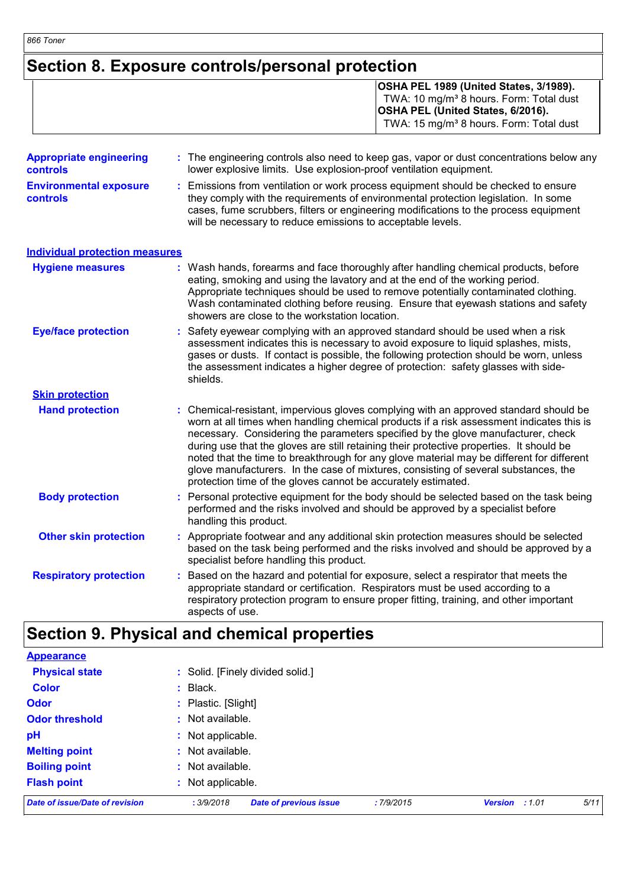## **Section 8. Exposure controls/personal protection**

|                                | OSHA PEL 1989 (United States, 3/1989).<br>TWA: 10 mg/m <sup>3</sup> 8 hours. Form: Total dust<br><b>OSHA PEL (United States, 6/2016).</b><br>TWA: 15 mg/m <sup>3</sup> 8 hours. Form: Total dust |
|--------------------------------|--------------------------------------------------------------------------------------------------------------------------------------------------------------------------------------------------|
| <b>Appropriate engineering</b> | : The engineering controls also need to keep gas, vapor or dust concentrations below any                                                                                                         |

| <b>controls</b>                                  | lower explosive limits. Use explosion-proof ventilation equipment.                                                                                                                                                                                                                                                            |
|--------------------------------------------------|-------------------------------------------------------------------------------------------------------------------------------------------------------------------------------------------------------------------------------------------------------------------------------------------------------------------------------|
| <b>Environmental exposure</b><br><b>controls</b> | Emissions from ventilation or work process equipment should be checked to ensure<br>they comply with the requirements of environmental protection legislation. In some<br>cases, fume scrubbers, filters or engineering modifications to the process equipment<br>will be necessary to reduce emissions to acceptable levels. |
| <b>Individual protection measures</b>            |                                                                                                                                                                                                                                                                                                                               |

| <b>Hygiene measures</b>    | : Wash hands, forearms and face thoroughly after handling chemical products, before<br>eating, smoking and using the lavatory and at the end of the working period.<br>Appropriate techniques should be used to remove potentially contaminated clothing.<br>Wash contaminated clothing before reusing. Ensure that eyewash stations and safety<br>showers are close to the workstation location. |
|----------------------------|---------------------------------------------------------------------------------------------------------------------------------------------------------------------------------------------------------------------------------------------------------------------------------------------------------------------------------------------------------------------------------------------------|
| <b>Eye/face protection</b> | : Safety eyewear complying with an approved standard should be used when a risk<br>to a concertable distribution field in a concertable consideration of a series that distributions and the const                                                                                                                                                                                                |

- assessment indicates this is necessary to avoid exposure to liquid splashes, mists, gases or dusts. If contact is possible, the following protection should be worn, unless the assessment indicates a higher degree of protection: safety glasses with sideshields. **Skin protection**
- **Hand protection** Chemical-resistant, impervious gloves complying with an approved standard should be **:** worn at all times when handling chemical products if a risk assessment indicates this is necessary. Considering the parameters specified by the glove manufacturer, check during use that the gloves are still retaining their protective properties. It should be noted that the time to breakthrough for any glove material may be different for different glove manufacturers. In the case of mixtures, consisting of several substances, the protection time of the gloves cannot be accurately estimated.
	- **Body protection** : Personal protective equipment for the body should be selected based on the task being in the task being performed and the risks involved and should be approved by a specialist before handling this product.
	- **Other skin protection :** Appropriate footwear and any additional skin protection measures should be selected based on the task being performed and the risks involved and should be approved by a specialist before handling this product.
- Based on the hazard and potential for exposure, select a respirator that meets the appropriate standard or certification. Respirators must be used according to a respiratory protection program to ensure proper fitting, training, and other important aspects of use. **Respiratory protection :**

# **Section 9. Physical and chemical properties**

| Date of issue/Date of revision | <b>Date of previous issue</b><br>: 3/9/2018<br>:7/9/2015 | 5/11<br><b>Version</b><br>: 1.01 |  |  |  |
|--------------------------------|----------------------------------------------------------|----------------------------------|--|--|--|
| <b>Flash point</b>             | : Not applicable.                                        |                                  |  |  |  |
| <b>Boiling point</b>           | : Not available.                                         |                                  |  |  |  |
| <b>Melting point</b>           | : Not available.                                         |                                  |  |  |  |
| pH                             | : Not applicable.                                        |                                  |  |  |  |
| <b>Odor threshold</b>          | : Not available.                                         |                                  |  |  |  |
| <b>Odor</b>                    | : Plastic. [Slight]                                      |                                  |  |  |  |
| <b>Color</b>                   | $:$ Black.                                               |                                  |  |  |  |
| <b>Physical state</b>          | : Solid. [Finely divided solid.]                         |                                  |  |  |  |
| Appearance                     |                                                          |                                  |  |  |  |

**Appearance**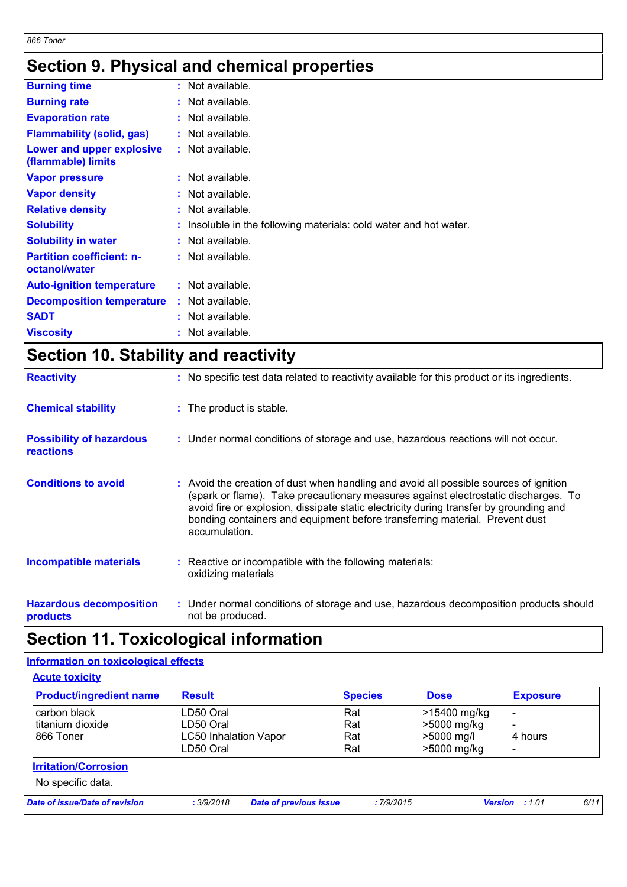# **Section 9. Physical and chemical properties**

| <b>Burning time</b><br>: Not available.<br><b>Burning rate</b><br>: Not available.<br><b>Evaporation rate</b><br>: Not available.<br><b>Flammability (solid, gas)</b><br>: Not available.<br>: Not available.<br>Lower and upper explosive<br>(flammable) limits<br>: Not available.<br><b>Vapor pressure</b><br><b>Vapor density</b><br>: Not available.<br><b>Relative density</b><br>: Not available.<br><b>Solubility</b><br>: Insoluble in the following materials: cold water and hot water.<br><b>Solubility in water</b><br>: Not available.<br><b>Partition coefficient: n-</b><br>$:$ Not available.<br>octanol/water<br>$:$ Not available.<br><b>Auto-ignition temperature</b><br><b>Decomposition temperature</b><br>: Not available.<br><b>SADT</b><br>: Not available.<br><b>Viscosity</b><br>: Not available. |  |
|------------------------------------------------------------------------------------------------------------------------------------------------------------------------------------------------------------------------------------------------------------------------------------------------------------------------------------------------------------------------------------------------------------------------------------------------------------------------------------------------------------------------------------------------------------------------------------------------------------------------------------------------------------------------------------------------------------------------------------------------------------------------------------------------------------------------------|--|
|                                                                                                                                                                                                                                                                                                                                                                                                                                                                                                                                                                                                                                                                                                                                                                                                                              |  |
|                                                                                                                                                                                                                                                                                                                                                                                                                                                                                                                                                                                                                                                                                                                                                                                                                              |  |
|                                                                                                                                                                                                                                                                                                                                                                                                                                                                                                                                                                                                                                                                                                                                                                                                                              |  |
|                                                                                                                                                                                                                                                                                                                                                                                                                                                                                                                                                                                                                                                                                                                                                                                                                              |  |
|                                                                                                                                                                                                                                                                                                                                                                                                                                                                                                                                                                                                                                                                                                                                                                                                                              |  |
|                                                                                                                                                                                                                                                                                                                                                                                                                                                                                                                                                                                                                                                                                                                                                                                                                              |  |
|                                                                                                                                                                                                                                                                                                                                                                                                                                                                                                                                                                                                                                                                                                                                                                                                                              |  |
|                                                                                                                                                                                                                                                                                                                                                                                                                                                                                                                                                                                                                                                                                                                                                                                                                              |  |
|                                                                                                                                                                                                                                                                                                                                                                                                                                                                                                                                                                                                                                                                                                                                                                                                                              |  |
|                                                                                                                                                                                                                                                                                                                                                                                                                                                                                                                                                                                                                                                                                                                                                                                                                              |  |
|                                                                                                                                                                                                                                                                                                                                                                                                                                                                                                                                                                                                                                                                                                                                                                                                                              |  |
|                                                                                                                                                                                                                                                                                                                                                                                                                                                                                                                                                                                                                                                                                                                                                                                                                              |  |
|                                                                                                                                                                                                                                                                                                                                                                                                                                                                                                                                                                                                                                                                                                                                                                                                                              |  |
|                                                                                                                                                                                                                                                                                                                                                                                                                                                                                                                                                                                                                                                                                                                                                                                                                              |  |
|                                                                                                                                                                                                                                                                                                                                                                                                                                                                                                                                                                                                                                                                                                                                                                                                                              |  |

# **Section 10. Stability and reactivity**

| <b>Reactivity</b>                            | : No specific test data related to reactivity available for this product or its ingredients.                                                                                                                                                                                                                                                                          |
|----------------------------------------------|-----------------------------------------------------------------------------------------------------------------------------------------------------------------------------------------------------------------------------------------------------------------------------------------------------------------------------------------------------------------------|
| <b>Chemical stability</b>                    | : The product is stable.                                                                                                                                                                                                                                                                                                                                              |
| <b>Possibility of hazardous</b><br>reactions | : Under normal conditions of storage and use, hazardous reactions will not occur.                                                                                                                                                                                                                                                                                     |
| <b>Conditions to avoid</b>                   | : Avoid the creation of dust when handling and avoid all possible sources of ignition<br>(spark or flame). Take precautionary measures against electrostatic discharges. To<br>avoid fire or explosion, dissipate static electricity during transfer by grounding and<br>bonding containers and equipment before transferring material. Prevent dust<br>accumulation. |
| <b>Incompatible materials</b>                | : Reactive or incompatible with the following materials:<br>oxidizing materials                                                                                                                                                                                                                                                                                       |
| <b>Hazardous decomposition</b><br>products   | : Under normal conditions of storage and use, hazardous decomposition products should<br>not be produced.                                                                                                                                                                                                                                                             |

## **Section 11. Toxicological information**

### **Information on toxicological effects**

| <b>Acute toxicity</b>                          |                                                                       |                          |                                                            |                 |  |  |
|------------------------------------------------|-----------------------------------------------------------------------|--------------------------|------------------------------------------------------------|-----------------|--|--|
| <b>Product/ingredient name</b>                 | <b>Result</b>                                                         | <b>Species</b>           | <b>Dose</b>                                                | <b>Exposure</b> |  |  |
| carbon black<br>titanium dioxide<br>⊩866 Toner | LD50 Oral<br>ILD50 Oral<br><b>LC50 Inhalation Vapor</b><br>ILD50 Oral | Rat<br>Rat<br>Rat<br>Rat | >15400 mg/kg<br>-5000 mg/kg<br>$>5000$ mg/l<br>-5000 mg/kg | I4 hours        |  |  |

### **Irritation/Corrosion**

No specific data.

| Date of issue/Date of revision | 3/9/2018 | <b>Date of previous issue</b> | 7/9/2015 | <b>Version</b> : 1.01 |  | 6/11 |
|--------------------------------|----------|-------------------------------|----------|-----------------------|--|------|
|--------------------------------|----------|-------------------------------|----------|-----------------------|--|------|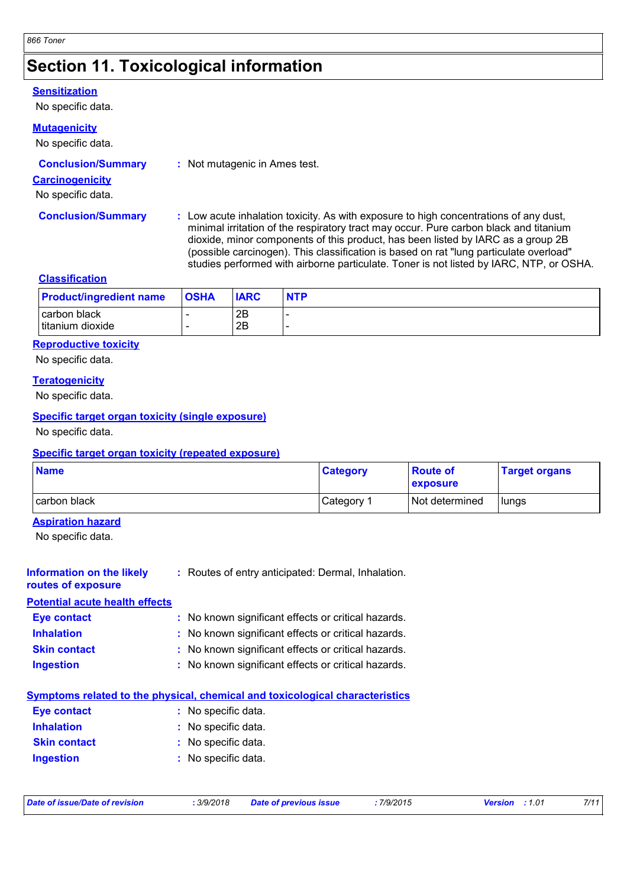# **Section 11. Toxicological information**

#### **Sensitization**

No specific data.

### **Mutagenicity**

### No specific data.

#### **Carcinogenicity**

No specific data.

**Conclusion/Summary :** Low acute inhalation toxicity. As with exposure to high concentrations of any dust, minimal irritation of the respiratory tract may occur. Pure carbon black and titanium dioxide, minor components of this product, has been listed by IARC as a group 2B (possible carcinogen). This classification is based on rat "lung particulate overload" studies performed with airborne particulate. Toner is not listed by IARC, NTP, or OSHA.

#### **Classification**

| <b>Product/ingredient name</b>   | <b>OSHA</b> | <b>IARC</b> | <b>NTP</b> |
|----------------------------------|-------------|-------------|------------|
| carbon black<br>titanium dioxide |             | 2B<br>2B    |            |

#### **Reproductive toxicity**

No specific data.

#### **Teratogenicity**

No specific data.

#### **Specific target organ toxicity (single exposure)**

No specific data.

#### **Specific target organ toxicity (repeated exposure)**

| <b>Name</b>  | <b>Category</b> | <b>Route of</b><br>exposure | <b>Target organs</b> |
|--------------|-----------------|-----------------------------|----------------------|
| carbon black | Category        | Not determined              | lungs                |

### **Aspiration hazard**

No specific data.

| Information on the likely<br>routes of exposure | : Routes of entry anticipated: Dermal, Inhalation.                           |
|-------------------------------------------------|------------------------------------------------------------------------------|
| <b>Potential acute health effects</b>           |                                                                              |
| Eye contact                                     | : No known significant effects or critical hazards.                          |
| <b>Inhalation</b>                               | : No known significant effects or critical hazards.                          |
| <b>Skin contact</b>                             | : No known significant effects or critical hazards.                          |
| <b>Ingestion</b>                                | : No known significant effects or critical hazards.                          |
|                                                 | Symptoms related to the physical, chemical and toxicological characteristics |
| Eye contact                                     | : No specific data.                                                          |

| $\sim$              |                     |
|---------------------|---------------------|
| <b>Inhalation</b>   | : No specific data. |
| <b>Skin contact</b> | : No specific data. |
| <b>Ingestion</b>    | : No specific data. |

|  |  | Date of issue/Date of revision |
|--|--|--------------------------------|
|  |  |                                |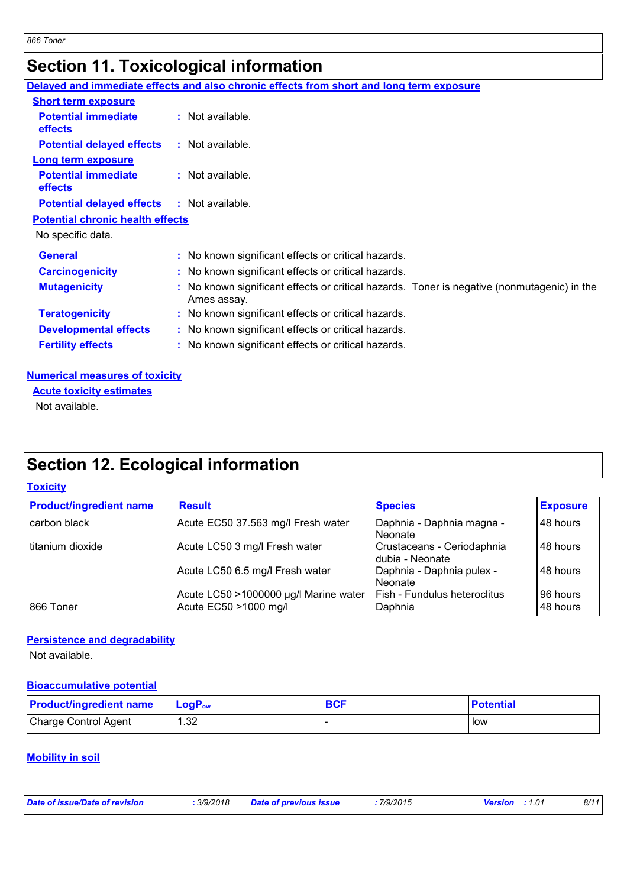# **Section 11. Toxicological information**

|                                              | Delayed and immediate effects and also chronic effects from short and long term exposure                   |
|----------------------------------------------|------------------------------------------------------------------------------------------------------------|
| <b>Short term exposure</b>                   |                                                                                                            |
| <b>Potential immediate</b><br><b>effects</b> | : Not available.                                                                                           |
| <b>Potential delayed effects</b>             | : Not available.                                                                                           |
| <b>Long term exposure</b>                    |                                                                                                            |
| <b>Potential immediate</b><br><b>effects</b> | : Not available.                                                                                           |
| <b>Potential delayed effects</b>             | : Not available.                                                                                           |
| <b>Potential chronic health effects</b>      |                                                                                                            |
| No specific data.                            |                                                                                                            |
| <b>General</b>                               | : No known significant effects or critical hazards.                                                        |
| <b>Carcinogenicity</b>                       | : No known significant effects or critical hazards.                                                        |
| <b>Mutagenicity</b>                          | : No known significant effects or critical hazards. Toner is negative (nonmutagenic) in the<br>Ames assay. |
| <b>Teratogenicity</b>                        | : No known significant effects or critical hazards.                                                        |
| <b>Developmental effects</b>                 | : No known significant effects or critical hazards.                                                        |
| <b>Fertility effects</b>                     | : No known significant effects or critical hazards.                                                        |

### **Numerical measures of toxicity**

Not available. **Acute toxicity estimates**

# **Section 12. Ecological information**

### **Toxicity**

| <b>Product/ingredient name</b> | <b>Result</b>                                                  | <b>Species</b>                                  | <b>Exposure</b>      |
|--------------------------------|----------------------------------------------------------------|-------------------------------------------------|----------------------|
| carbon black                   | Acute EC50 37.563 mg/l Fresh water                             | Daphnia - Daphnia magna -<br>Neonate            | 48 hours             |
| titanium dioxide               | Acute LC50 3 mg/l Fresh water                                  | Crustaceans - Ceriodaphnia<br>I dubia - Neonate | 48 hours             |
|                                | Acute LC50 6.5 mg/l Fresh water                                | Daphnia - Daphnia pulex -<br>Neonate            | 48 hours             |
| 866 Toner                      | Acute LC50 >1000000 µg/l Marine water<br>Acute EC50 >1000 mg/l | Fish - Fundulus heteroclitus<br>Daphnia         | 96 hours<br>48 hours |

### **Persistence and degradability**

Not available.

### **Bioaccumulative potential**

| <b>Product/ingredient name</b> | $\mathsf{LogP}_\mathsf{ow}$ | BCF | <b>Potential</b> |
|--------------------------------|-----------------------------|-----|------------------|
| Charge Control Agent           | ാറ<br>ےت.⊦                  |     | low              |

### **Mobility in soil**

| Date of issue/Date of revision | 3/9/2018 | <b>Date of previous issue</b> | 7/9/2015 | <b>Version</b> : 1.01 | 8/11 |
|--------------------------------|----------|-------------------------------|----------|-----------------------|------|
|                                |          |                               |          |                       |      |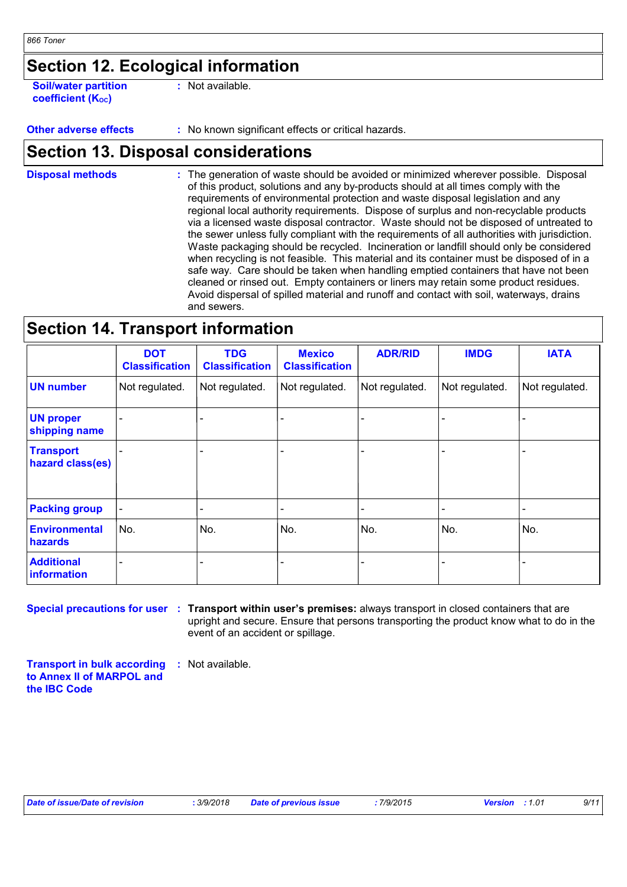# **Section 12. Ecological information**

**Soil/water partition coefficient (KOC)**

**:** Not available.

**Other adverse effects** : No known significant effects or critical hazards.

## **Section 13. Disposal considerations**

The generation of waste should be avoided or minimized wherever possible. Disposal of this product, solutions and any by-products should at all times comply with the requirements of environmental protection and waste disposal legislation and any regional local authority requirements. Dispose of surplus and non-recyclable products via a licensed waste disposal contractor. Waste should not be disposed of untreated to the sewer unless fully compliant with the requirements of all authorities with jurisdiction. Waste packaging should be recycled. Incineration or landfill should only be considered when recycling is not feasible. This material and its container must be disposed of in a safe way. Care should be taken when handling emptied containers that have not been cleaned or rinsed out. Empty containers or liners may retain some product residues. Avoid dispersal of spilled material and runoff and contact with soil, waterways, drains and sewers. **Disposal methods :**

## **Section 14. Transport information**

|                                      | <b>DOT</b><br><b>Classification</b> | <b>TDG</b><br><b>Classification</b> | <b>Mexico</b><br><b>Classification</b> | <b>ADR/RID</b> | <b>IMDG</b>    | <b>IATA</b>    |
|--------------------------------------|-------------------------------------|-------------------------------------|----------------------------------------|----------------|----------------|----------------|
| <b>UN number</b>                     | Not regulated.                      | Not regulated.                      | Not regulated.                         | Not regulated. | Not regulated. | Not regulated. |
| <b>UN proper</b><br>shipping name    |                                     |                                     |                                        |                |                |                |
| <b>Transport</b><br>hazard class(es) |                                     |                                     |                                        |                |                |                |
| <b>Packing group</b>                 |                                     |                                     |                                        |                |                | -              |
| Environmental<br>hazards             | No.                                 | No.                                 | No.                                    | No.            | No.            | No.            |
| <b>Additional</b><br>information     |                                     |                                     |                                        |                |                |                |

**Special precautions for user Transport within user's premises:** always transport in closed containers that are **:** upright and secure. Ensure that persons transporting the product know what to do in the event of an accident or spillage.

**Transport in bulk according to Annex II of MARPOL and the IBC Code :** Not available.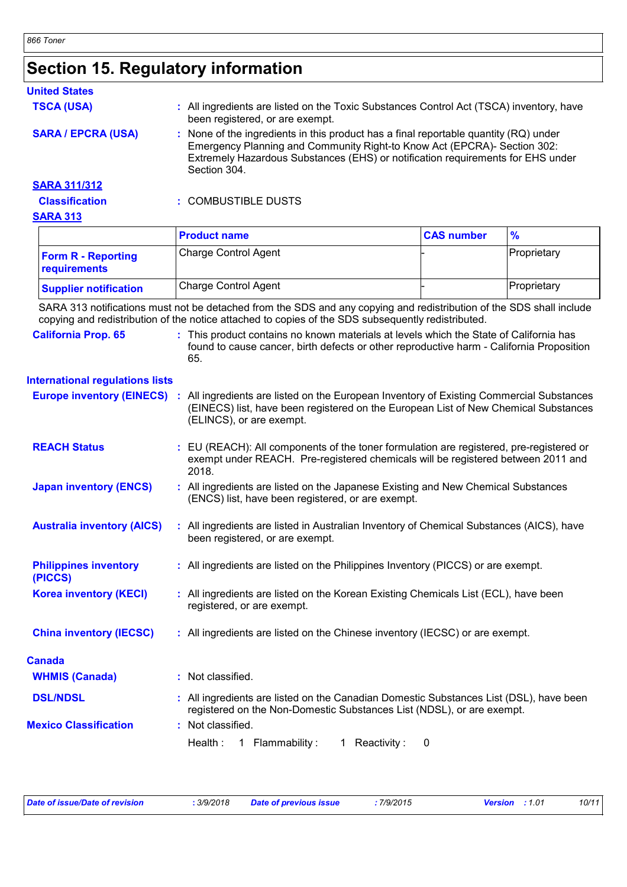# **Section 15. Regulatory information**

| <b>United States</b>      |                                                                                                                                                                                                                                                                         |
|---------------------------|-------------------------------------------------------------------------------------------------------------------------------------------------------------------------------------------------------------------------------------------------------------------------|
| <b>TSCA (USA)</b>         | All ingredients are listed on the Toxic Substances Control Act (TSCA) inventory, have<br>been registered, or are exempt.                                                                                                                                                |
| <b>SARA / EPCRA (USA)</b> | None of the ingredients in this product has a final reportable quantity (RQ) under<br>÷.<br>Emergency Planning and Community Right-to Know Act (EPCRA)- Section 302:<br>Extremely Hazardous Substances (EHS) or notification requirements for EHS under<br>Section 304. |
| <b>SARA 311/312</b>       |                                                                                                                                                                                                                                                                         |
| <b>Classification</b>     | : COMBUSTIBLE DUSTS                                                                                                                                                                                                                                                     |
| <b>SARA 313</b>           |                                                                                                                                                                                                                                                                         |
|                           | $\sim$<br>$\sim$ $\sim$                                                                                                                                                                                                                                                 |

|                                           | <b>Product name</b>         | <b>CAS number</b> | $\frac{9}{6}$       |
|-------------------------------------------|-----------------------------|-------------------|---------------------|
| <b>Form R - Reporting</b><br>requirements | <b>Charge Control Agent</b> |                   | <b>IProprietary</b> |
| <b>Supplier notification</b>              | <b>Charge Control Agent</b> |                   | Proprietary         |

SARA 313 notifications must not be detached from the SDS and any copying and redistribution of the SDS shall include copying and redistribution of the notice attached to copies of the SDS subsequently redistributed.

| <b>California Prop. 65</b>              | : This product contains no known materials at levels which the State of California has<br>found to cause cancer, birth defects or other reproductive harm - California Proposition<br>65.                 |
|-----------------------------------------|-----------------------------------------------------------------------------------------------------------------------------------------------------------------------------------------------------------|
| <b>International regulations lists</b>  |                                                                                                                                                                                                           |
| <b>Europe inventory (EINECS) :</b>      | All ingredients are listed on the European Inventory of Existing Commercial Substances<br>(EINECS) list, have been registered on the European List of New Chemical Substances<br>(ELINCS), or are exempt. |
| <b>REACH Status</b>                     | : EU (REACH): All components of the toner formulation are registered, pre-registered or<br>exempt under REACH. Pre-registered chemicals will be registered between 2011 and<br>2018.                      |
| <b>Japan inventory (ENCS)</b>           | : All ingredients are listed on the Japanese Existing and New Chemical Substances<br>(ENCS) list, have been registered, or are exempt.                                                                    |
| <b>Australia inventory (AICS)</b>       | : All ingredients are listed in Australian Inventory of Chemical Substances (AICS), have<br>been registered, or are exempt.                                                                               |
| <b>Philippines inventory</b><br>(PICCS) | : All ingredients are listed on the Philippines Inventory (PICCS) or are exempt.                                                                                                                          |
| <b>Korea inventory (KECI)</b>           | : All ingredients are listed on the Korean Existing Chemicals List (ECL), have been<br>registered, or are exempt.                                                                                         |
| <b>China inventory (IECSC)</b>          | : All ingredients are listed on the Chinese inventory (IECSC) or are exempt.                                                                                                                              |
| <b>Canada</b>                           |                                                                                                                                                                                                           |
| <b>WHMIS (Canada)</b>                   | : Not classified.                                                                                                                                                                                         |
| <b>DSL/NDSL</b>                         | : All ingredients are listed on the Canadian Domestic Substances List (DSL), have been<br>registered on the Non-Domestic Substances List (NDSL), or are exempt.                                           |
| <b>Mexico Classification</b>            | : Not classified.                                                                                                                                                                                         |
|                                         | Health:<br>1 Flammability:<br>1 Reactivity:<br>0                                                                                                                                                          |